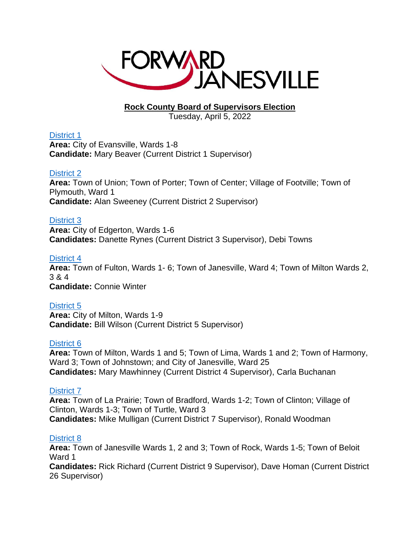

# **Rock County Board of Supervisors Election**

Tuesday, April 5, 2022

# [District 1](https://www.co.rock.wi.us/home/showpublisheddocument/43860/637811417880900000)

**Area:** City of Evansville, Wards 1-8 **Candidate:** Mary Beaver (Current District 1 Supervisor)

# [District 2](https://www.co.rock.wi.us/home/showpublisheddocument/43862/637811417887470000)

**Area:** Town of Union; Town of Porter; Town of Center; Village of Footville; Town of Plymouth, Ward 1 **Candidate:** Alan Sweeney (Current District 2 Supervisor)

# [District 3](https://www.co.rock.wi.us/home/showpublisheddocument/43864/637811417893730000)

**Area:** City of Edgerton, Wards 1-6 **Candidates:** Danette Rynes (Current District 3 Supervisor), Debi Towns

# [District 4](https://www.co.rock.wi.us/home/showpublisheddocument/43866/637811417898270000)

**Area:** Town of Fulton, Wards 1- 6; Town of Janesville, Ward 4; Town of Milton Wards 2, 3 & 4 **Candidate:** Connie Winter

# [District 5](https://www.co.rock.wi.us/home/showpublisheddocument/43868/637811417903270000)

**Area:** City of Milton, Wards 1-9 **Candidate:** Bill Wilson (Current District 5 Supervisor)

# [District 6](https://www.co.rock.wi.us/home/showpublisheddocument/43870/637811417907770000)

**Area:** Town of Milton, Wards 1 and 5; Town of Lima, Wards 1 and 2; Town of Harmony, Ward 3; Town of Johnstown; and City of Janesville, Ward 25 **Candidates:** Mary Mawhinney (Current District 4 Supervisor), Carla Buchanan

# [District 7](https://www.co.rock.wi.us/home/showpublisheddocument/43872/637811417912930000)

**Area:** Town of La Prairie; Town of Bradford, Wards 1-2; Town of Clinton; Village of Clinton, Wards 1-3; Town of Turtle, Ward 3 **Candidates:** Mike Mulligan (Current District 7 Supervisor), Ronald Woodman

# [District 8](https://www.co.rock.wi.us/home/showpublisheddocument/43874/637811417918400000)

**Area:** Town of Janesville Wards 1, 2 and 3; Town of Rock, Wards 1-5; Town of Beloit Ward 1

**Candidates:** Rick Richard (Current District 9 Supervisor), Dave Homan (Current District 26 Supervisor)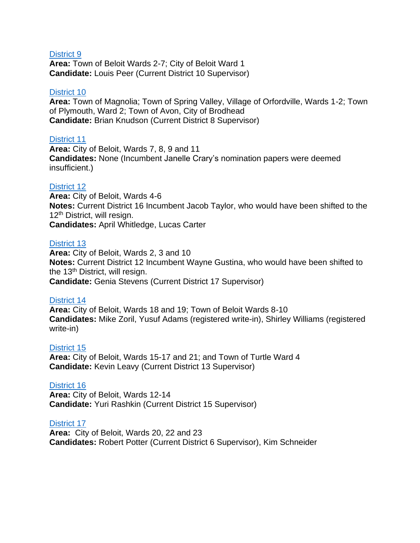### [District 9](https://www.co.rock.wi.us/home/showpublisheddocument/43876/637811417925770000)

**Area:** Town of Beloit Wards 2-7; City of Beloit Ward 1 **Candidate:** Louis Peer (Current District 10 Supervisor)

### [District 10](https://www.co.rock.wi.us/home/showpublisheddocument/43878/637811417931070000)

**Area:** Town of Magnolia; Town of Spring Valley, Village of Orfordville, Wards 1-2; Town of Plymouth, Ward 2; Town of Avon, City of Brodhead **Candidate:** Brian Knudson (Current District 8 Supervisor)

### [District 11](https://www.co.rock.wi.us/home/showpublisheddocument/43880/637811417935900000)

**Area:** City of Beloit, Wards 7, 8, 9 and 11 **Candidates:** None (Incumbent Janelle Crary's nomination papers were deemed insufficient.)

# [District 12](https://www.co.rock.wi.us/home/showpublisheddocument/43882/637811417940600000)

**Area:** City of Beloit, Wards 4-6 **Notes:** Current District 16 Incumbent Jacob Taylor, who would have been shifted to the 12<sup>th</sup> District, will resign. **Candidates:** April Whitledge, Lucas Carter

### [District 13](https://www.co.rock.wi.us/home/showpublisheddocument/43884/637811417946070000)

**Area:** City of Beloit, Wards 2, 3 and 10 **Notes:** Current District 12 Incumbent Wayne Gustina, who would have been shifted to the 13<sup>th</sup> District, will resign. **Candidate:** Genia Stevens (Current District 17 Supervisor)

### [District 14](https://www.co.rock.wi.us/home/showpublisheddocument/43886/637811417951070000)

**Area:** City of Beloit, Wards 18 and 19; Town of Beloit Wards 8-10 **Candidates:** Mike Zoril, Yusuf Adams (registered write-in), Shirley Williams (registered write-in)

### [District 15](https://www.co.rock.wi.us/home/showpublisheddocument/43888/637811417956070000)

**Area:** City of Beloit, Wards 15-17 and 21; and Town of Turtle Ward 4 **Candidate:** Kevin Leavy (Current District 13 Supervisor)

### [District 16](https://www.co.rock.wi.us/home/showpublisheddocument/43890/637811417963270000)

**Area:** City of Beloit, Wards 12-14 **Candidate:** Yuri Rashkin (Current District 15 Supervisor)

### [District 17](https://www.co.rock.wi.us/home/showpublisheddocument/43892/637811417968270000)

**Area:** City of Beloit, Wards 20, 22 and 23 **Candidates:** Robert Potter (Current District 6 Supervisor), Kim Schneider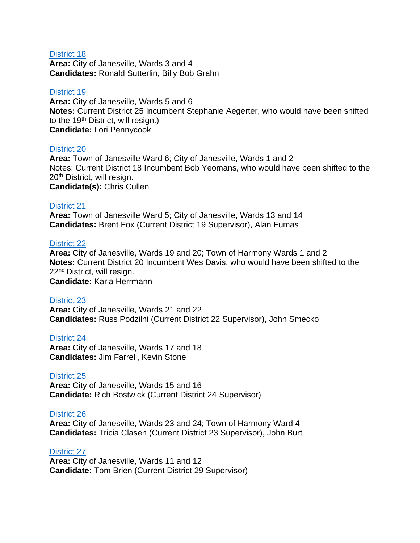### [District 18](https://www.co.rock.wi.us/home/showpublisheddocument/43894/637811417974030000)

**Area:** City of Janesville, Wards 3 and 4 **Candidates:** Ronald Sutterlin, Billy Bob Grahn

#### [District 19](https://www.co.rock.wi.us/home/showpublisheddocument/43896/637811417980770000)

**Area:** City of Janesville, Wards 5 and 6 **Notes:** Current District 25 Incumbent Stephanie Aegerter, who would have been shifted to the 19<sup>th</sup> District, will resign.) **Candidate:** Lori Pennycook

#### [District 20](https://www.co.rock.wi.us/home/showpublisheddocument/43898/637811417985770000)

**Area:** Town of Janesville Ward 6; City of Janesville, Wards 1 and 2 Notes: Current District 18 Incumbent Bob Yeomans, who would have been shifted to the 20th District, will resign. **Candidate(s):** Chris Cullen

#### [District 21](https://www.co.rock.wi.us/home/showpublisheddocument/43900/637811417990900000)

**Area:** Town of Janesville Ward 5; City of Janesville, Wards 13 and 14 **Candidates:** Brent Fox (Current District 19 Supervisor), Alan Fumas

#### [District 22](https://www.co.rock.wi.us/home/showpublisheddocument/43902/637811417996070000)

**Area:** City of Janesville, Wards 19 and 20; Town of Harmony Wards 1 and 2 **Notes:** Current District 20 Incumbent Wes Davis, who would have been shifted to the 22nd District, will resign.

**Candidate:** Karla Herrmann

#### [District 23](https://www.co.rock.wi.us/home/showpublisheddocument/43904/637811418001700000)

**Area:** City of Janesville, Wards 21 and 22 **Candidates:** Russ Podzilni (Current District 22 Supervisor), John Smecko

#### [District 24](https://www.co.rock.wi.us/home/showpublisheddocument/43906/637811418007800000)

**Area:** City of Janesville, Wards 17 and 18 **Candidates:** Jim Farrell, Kevin Stone

#### [District 25](https://www.co.rock.wi.us/home/showpublisheddocument/43908/637811418012470000)

**Area:** City of Janesville, Wards 15 and 16 **Candidate:** Rich Bostwick (Current District 24 Supervisor)

#### [District 26](https://www.co.rock.wi.us/home/showpublisheddocument/43910/637811418017330000)

**Area:** City of Janesville, Wards 23 and 24; Town of Harmony Ward 4 **Candidates:** Tricia Clasen (Current District 23 Supervisor), John Burt

#### [District 27](https://www.co.rock.wi.us/home/showpublisheddocument/43912/637811418022330000)

**Area:** City of Janesville, Wards 11 and 12 **Candidate:** Tom Brien (Current District 29 Supervisor)